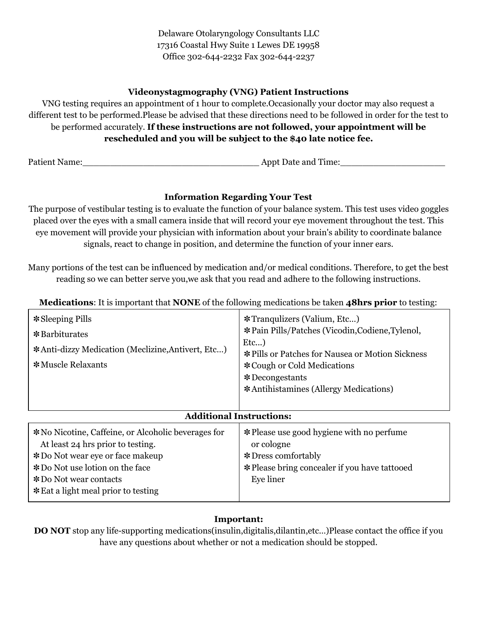Delaware Otolaryngology Consultants LLC 17316 Coastal Hwy Suite 1 Lewes DE 19958 Office 302-644-2232 Fax 302-644-2237

### **Videonystagmography (VNG) Patient Instructions**

VNG testing requires an appointment of 1 hour to complete.Occasionally your doctor may also request a different test to be performed.Please be advised that these directions need to be followed in order for the test to be performed accurately. **If these instructions are not followed, your appointment will be rescheduled and you will be subject to the \$40 late notice fee.**

Patient Name:\_\_\_\_\_\_\_\_\_\_\_\_\_\_\_\_\_\_\_\_\_\_\_\_\_\_\_\_\_\_\_\_ Appt Date and Time:\_\_\_\_\_\_\_\_\_\_\_\_\_\_\_\_\_\_\_

## **Information Regarding Your Test**

The purpose of vestibular testing is to evaluate the function of your balance system. This test uses video goggles placed over the eyes with a small camera inside that will record your eye movement throughout the test. This eye movement will provide your physician with information about your brain's ability to coordinate balance signals, react to change in position, and determine the function of your inner ears.

Many portions of the test can be influenced by medication and/or medical conditions. Therefore, to get the best reading so we can better serve you,we ask that you read and adhere to the following instructions.

**Medications**: It is important that **NONE** of the following medications be taken **48hrs prior** to testing:

| * Sleeping Pills<br>*Barbiturates<br>*Anti-dizzy Medication (Meclizine, Antivert, Etc)<br>*Muscle Relaxants                                                                                                                                   | <b>*Tranquizers (Valium, Etc)</b><br>* Pain Pills/Patches (Vicodin, Codiene, Tylenol,<br>$Et$ )<br>* Pills or Patches for Nausea or Motion Sickness<br>* Cough or Cold Medications<br>$*$ Decongestants<br>*Antihistamines (Allergy Medications) |
|-----------------------------------------------------------------------------------------------------------------------------------------------------------------------------------------------------------------------------------------------|--------------------------------------------------------------------------------------------------------------------------------------------------------------------------------------------------------------------------------------------------|
| <b>Additional Instructions:</b>                                                                                                                                                                                                               |                                                                                                                                                                                                                                                  |
| * No Nicotine, Caffeine, or Alcoholic beverages for<br>At least 24 hrs prior to testing.<br>*Do Not wear eye or face makeup<br>* Do Not use lotion on the face<br><i><b>*</b></i> Do Not wear contacts<br>* Eat a light meal prior to testing | * Please use good hygiene with no perfume<br>or cologne<br>* Dress comfortably<br>* Please bring concealer if you have tattooed<br>Eye liner                                                                                                     |

### **Important:**

**DO NOT** stop any life-supporting medications(insulin,digitalis,dilantin,etc…)Please contact the office if you have any questions about whether or not a medication should be stopped.